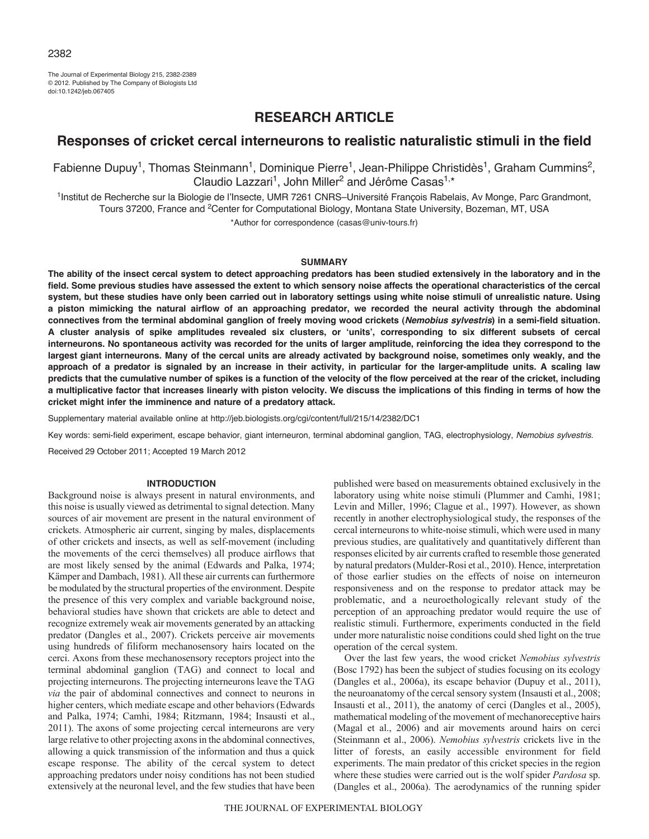The Journal of Experimental Biology 215, 2382-2389 © 2012. Published by The Company of Biologists Ltd doi:10.1242/jeb.067405

# **RESEARCH ARTICLE**

# **Responses of cricket cercal interneurons to realistic naturalistic stimuli in the field**

Fabienne Dupuy<sup>1</sup>, Thomas Steinmann<sup>1</sup>, Dominique Pierre<sup>1</sup>, Jean-Philippe Christidès<sup>1</sup>, Graham Cummins<sup>2</sup>, Claudio Lazzari<sup>1</sup>, John Miller<sup>2</sup> and Jérôme Casas<sup>1,\*</sup>

1Institut de Recherche sur la Biologie de l'Insecte, UMR 7261 CNRS–Université François Rabelais, Av Monge, Parc Grandmont, Tours 37200, France and <sup>2</sup>Center for Computational Biology, Montana State University, Bozeman, MT, USA

\*Author for correspondence (casas@univ-tours.fr)

## **SUMMARY**

**The ability of the insect cercal system to detect approaching predators has been studied extensively in the laboratory and in the field. Some previous studies have assessed the extent to which sensory noise affects the operational characteristics of the cercal system, but these studies have only been carried out in laboratory settings using white noise stimuli of unrealistic nature. Using a piston mimicking the natural airflow of an approaching predator, we recorded the neural activity through the abdominal connectives from the terminal abdominal ganglion of freely moving wood crickets (***Nemobius sylvestris***) in a semi-field situation. A cluster analysis of spike amplitudes revealed six clusters, or ʻunits', corresponding to six different subsets of cercal interneurons. No spontaneous activity was recorded for the units of larger amplitude, reinforcing the idea they correspond to the largest giant interneurons. Many of the cercal units are already activated by background noise, sometimes only weakly, and the approach of a predator is signaled by an increase in their activity, in particular for the larger-amplitude units. A scaling law predicts that the cumulative number of spikes is a function of the velocity of the flow perceived at the rear of the cricket, including a multiplicative factor that increases linearly with piston velocity. We discuss the implications of this finding in terms of how the cricket might infer the imminence and nature of a predatory attack.**

Supplementary material available online at http://jeb.biologists.org/cgi/content/full/215/14/2382/DC1

Key words: semi-field experiment, escape behavior, giant interneuron, terminal abdominal ganglion, TAG, electrophysiology, *Nemobius sylvestris.*

Received 29 October 2011; Accepted 19 March 2012

### **INTRODUCTION**

Background noise is always present in natural environments, and this noise is usually viewed as detrimental to signal detection. Many sources of air movement are present in the natural environment of crickets. Atmospheric air current, singing by males, displacements of other crickets and insects, as well as self-movement (including the movements of the cerci themselves) all produce airflows that are most likely sensed by the animal (Edwards and Palka, 1974; Kämper and Dambach, 1981). All these air currents can furthermore be modulated by the structural properties of the environment. Despite the presence of this very complex and variable background noise, behavioral studies have shown that crickets are able to detect and recognize extremely weak air movements generated by an attacking predator (Dangles et al., 2007). Crickets perceive air movements using hundreds of filiform mechanosensory hairs located on the cerci. Axons from these mechanosensory receptors project into the terminal abdominal ganglion (TAG) and connect to local and projecting interneurons. The projecting interneurons leave the TAG *via* the pair of abdominal connectives and connect to neurons in higher centers, which mediate escape and other behaviors (Edwards and Palka, 1974; Camhi, 1984; Ritzmann, 1984; Insausti et al., 2011). The axons of some projecting cercal interneurons are very large relative to other projecting axons in the abdominal connectives, allowing a quick transmission of the information and thus a quick escape response. The ability of the cercal system to detect approaching predators under noisy conditions has not been studied extensively at the neuronal level, and the few studies that have been

published were based on measurements obtained exclusively in the laboratory using white noise stimuli (Plummer and Camhi, 1981; Levin and Miller, 1996; Clague et al., 1997). However, as shown recently in another electrophysiological study, the responses of the cercal interneurons to white-noise stimuli, which were used in many previous studies, are qualitatively and quantitatively different than responses elicited by air currents crafted to resemble those generated by natural predators (Mulder-Rosi et al., 2010). Hence, interpretation of those earlier studies on the effects of noise on interneuron responsiveness and on the response to predator attack may be problematic, and a neuroethologically relevant study of the perception of an approaching predator would require the use of realistic stimuli. Furthermore, experiments conducted in the field under more naturalistic noise conditions could shed light on the true operation of the cercal system.

Over the last few years, the wood cricket *Nemobius sylvestris* (Bosc 1792) has been the subject of studies focusing on its ecology (Dangles et al., 2006a), its escape behavior (Dupuy et al., 2011), the neuroanatomy of the cercal sensory system (Insausti et al., 2008; Insausti et al., 2011), the anatomy of cerci (Dangles et al., 2005), mathematical modeling of the movement of mechanoreceptive hairs (Magal et al., 2006) and air movements around hairs on cerci (Steinmann et al., 2006). *Nemobius sylvestris* crickets live in the litter of forests, an easily accessible environment for field experiments. The main predator of this cricket species in the region where these studies were carried out is the wolf spider *Pardosa* sp. (Dangles et al., 2006a). The aerodynamics of the running spider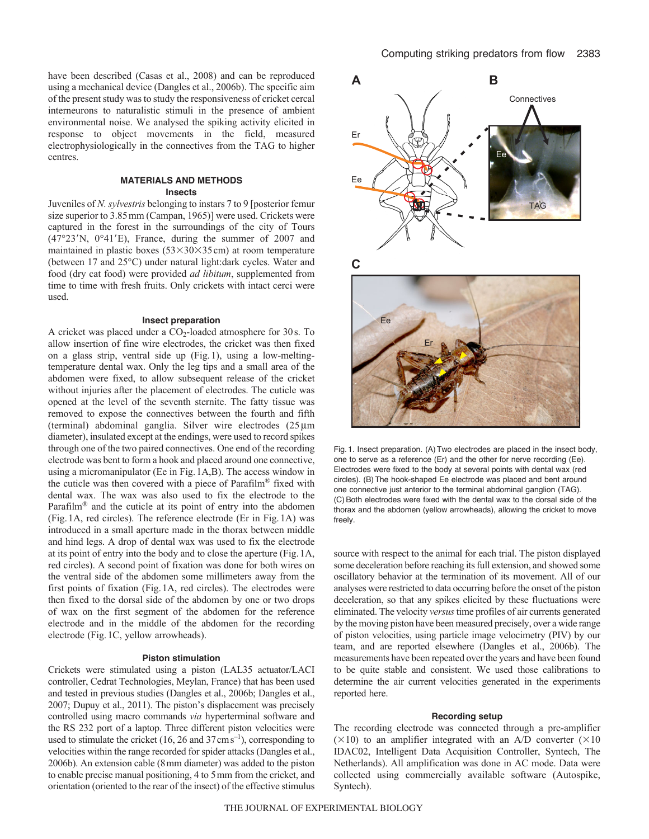have been described (Casas et al., 2008) and can be reproduced using a mechanical device (Dangles et al., 2006b). The specific aim of the present study was to study the responsiveness of cricket cercal interneurons to naturalistic stimuli in the presence of ambient environmental noise. We analysed the spiking activity elicited in response to object movements in the field, measured electrophysiologically in the connectives from the TAG to higher centres.

## **MATERIALS AND METHODS Insects**

Juveniles of *N. sylvestris* belonging to instars 7 to 9 [posterior femur size superior to 3.85mm (Campan, 1965)] were used. Crickets were captured in the forest in the surroundings of the city of Tours  $(47°23'N, 0°41'E)$ , France, during the summer of 2007 and maintained in plastic boxes  $(53\times30\times35\,\text{cm})$  at room temperature (between 17 and 25°C) under natural light:dark cycles. Water and food (dry cat food) were provided *ad libitum*, supplemented from time to time with fresh fruits. Only crickets with intact cerci were used.

#### **Insect preparation**

A cricket was placed under a  $CO<sub>2</sub>$ -loaded atmosphere for 30s. To allow insertion of fine wire electrodes, the cricket was then fixed on a glass strip, ventral side up (Fig.1), using a low-meltingtemperature dental wax. Only the leg tips and a small area of the abdomen were fixed, to allow subsequent release of the cricket without injuries after the placement of electrodes. The cuticle was opened at the level of the seventh sternite. The fatty tissue was removed to expose the connectives between the fourth and fifth (terminal) abdominal ganglia. Silver wire electrodes  $(25 \,\mu m)$ diameter), insulated except at the endings, were used to record spikes through one of the two paired connectives. One end of the recording electrode was bent to form a hook and placed around one connective, using a micromanipulator (Ee in Fig.1A,B). The access window in the cuticle was then covered with a piece of Parafilm® fixed with dental wax. The wax was also used to fix the electrode to the Parafilm® and the cuticle at its point of entry into the abdomen (Fig.1A, red circles). The reference electrode (Er in Fig.1A) was introduced in a small aperture made in the thorax between middle and hind legs. A drop of dental wax was used to fix the electrode at its point of entry into the body and to close the aperture (Fig.1A, red circles). A second point of fixation was done for both wires on the ventral side of the abdomen some millimeters away from the first points of fixation (Fig.1A, red circles). The electrodes were then fixed to the dorsal side of the abdomen by one or two drops of wax on the first segment of the abdomen for the reference electrode and in the middle of the abdomen for the recording electrode (Fig.1C, yellow arrowheads).

## **Piston stimulation**

Crickets were stimulated using a piston (LAL35 actuator/LACI controller, Cedrat Technologies, Meylan, France) that has been used and tested in previous studies (Dangles et al., 2006b; Dangles et al., 2007; Dupuy et al., 2011). The piston's displacement was precisely controlled using macro commands *via* hyperterminal software and the RS 232 port of a laptop. Three different piston velocities were used to stimulate the cricket  $(16, 26 \text{ and } 37 \text{ cm s}^{-1})$ , corresponding to velocities within the range recorded for spider attacks (Dangles et al., 2006b). An extension cable (8mm diameter) was added to the piston to enable precise manual positioning, 4 to 5mm from the cricket, and orientation (oriented to the rear of the insect) of the effective stimulus



Fig. 1. Insect preparation. (A)Two electrodes are placed in the insect body, one to serve as a reference (Er) and the other for nerve recording (Ee). Electrodes were fixed to the body at several points with dental wax (red circles). (B)The hook-shaped Ee electrode was placed and bent around one connective just anterior to the terminal abdominal ganglion (TAG). (C)Both electrodes were fixed with the dental wax to the dorsal side of the thorax and the abdomen (yellow arrowheads), allowing the cricket to move freely.

source with respect to the animal for each trial. The piston displayed some deceleration before reaching its full extension, and showed some oscillatory behavior at the termination of its movement. All of our analyses were restricted to data occurring before the onset of the piston deceleration, so that any spikes elicited by these fluctuations were eliminated. The velocity *versus*time profiles of air currents generated by the moving piston have been measured precisely, over a wide range of piston velocities, using particle image velocimetry (PIV) by our team, and are reported elsewhere (Dangles et al., 2006b). The measurements have been repeated over the years and have been found to be quite stable and consistent. We used those calibrations to determine the air current velocities generated in the experiments reported here.

## **Recording setup**

The recording electrode was connected through a pre-amplifier  $(\times 10)$  to an amplifier integrated with an A/D converter  $(\times 10)$ IDAC02, Intelligent Data Acquisition Controller, Syntech, The Netherlands). All amplification was done in AC mode. Data were collected using commercially available software (Autospike, Syntech).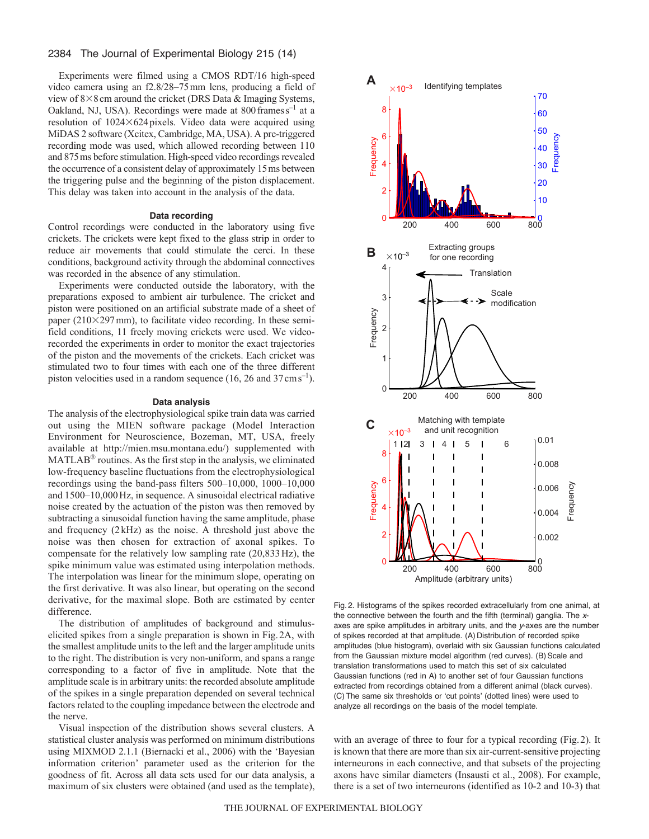## 2384 The Journal of Experimental Biology 215 (14)

Experiments were filmed using a CMOS RDT/16 high-speed video camera using an f2.8/28–75mm lens, producing a field of view of  $8 \times 8$  cm around the cricket (DRS Data & Imaging Systems, Oakland, NJ, USA). Recordings were made at  $800$  frames  $s^{-1}$  at a resolution of  $1024\times624$  pixels. Video data were acquired using MiDAS 2 software (Xcitex, Cambridge, MA, USA). A pre-triggered recording mode was used, which allowed recording between 110 and 875ms before stimulation. High-speed video recordings revealed the occurrence of a consistent delay of approximately 15ms between the triggering pulse and the beginning of the piston displacement. This delay was taken into account in the analysis of the data.

## **Data recording**

Control recordings were conducted in the laboratory using five crickets. The crickets were kept fixed to the glass strip in order to reduce air movements that could stimulate the cerci. In these conditions, background activity through the abdominal connectives was recorded in the absence of any stimulation.

Experiments were conducted outside the laboratory, with the preparations exposed to ambient air turbulence. The cricket and piston were positioned on an artificial substrate made of a sheet of paper ( $210\times297$  mm), to facilitate video recording. In these semifield conditions, 11 freely moving crickets were used. We videorecorded the experiments in order to monitor the exact trajectories of the piston and the movements of the crickets. Each cricket was stimulated two to four times with each one of the three different piston velocities used in a random sequence  $(16, 26 \text{ and } 37 \text{ cm s}^{-1})$ .

#### **Data analysis**

The analysis of the electrophysiological spike train data was carried out using the MIEN software package (Model Interaction Environment for Neuroscience, Bozeman, MT, USA, freely available at http://mien.msu.montana.edu/) supplemented with MATLAB® routines. As the first step in the analysis, we eliminated low-frequency baseline fluctuations from the electrophysiological recordings using the band-pass filters 500–10,000, 1000–10,000 and 1500–10,000Hz, in sequence. A sinusoidal electrical radiative noise created by the actuation of the piston was then removed by subtracting a sinusoidal function having the same amplitude, phase and frequency (2 kHz) as the noise. A threshold just above the noise was then chosen for extraction of axonal spikes. To compensate for the relatively low sampling rate (20,833Hz), the spike minimum value was estimated using interpolation methods. The interpolation was linear for the minimum slope, operating on the first derivative. It was also linear, but operating on the second derivative, for the maximal slope. Both are estimated by center difference.

The distribution of amplitudes of background and stimuluselicited spikes from a single preparation is shown in Fig.2A, with the smallest amplitude units to the left and the larger amplitude units to the right. The distribution is very non-uniform, and spans a range corresponding to a factor of five in amplitude. Note that the amplitude scale is in arbitrary units: the recorded absolute amplitude of the spikes in a single preparation depended on several technical factors related to the coupling impedance between the electrode and the nerve.

Visual inspection of the distribution shows several clusters. A statistical cluster analysis was performed on minimum distributions using MIXMOD 2.1.1 (Biernacki et al., 2006) with the 'Bayesian information criterion' parameter used as the criterion for the goodness of fit. Across all data sets used for our data analysis, a maximum of six clusters were obtained (and used as the template),



Fig. 2. Histograms of the spikes recorded extracellularly from one animal, at the connective between the fourth and the fifth (terminal) ganglia. The *x*axes are spike amplitudes in arbitrary units, and the *y*-axes are the number of spikes recorded at that amplitude. (A) Distribution of recorded spike amplitudes (blue histogram), overlaid with six Gaussian functions calculated from the Gaussian mixture model algorithm (red curves). (B) Scale and translation transformations used to match this set of six calculated Gaussian functions (red in A) to another set of four Gaussian functions extracted from recordings obtained from a different animal (black curves). (C)The same six thresholds or ʻcut points' (dotted lines) were used to analyze all recordings on the basis of the model template.

with an average of three to four for a typical recording (Fig.2). It is known that there are more than six air-current-sensitive projecting interneurons in each connective, and that subsets of the projecting axons have similar diameters (Insausti et al., 2008). For example, there is a set of two interneurons (identified as 10-2 and 10-3) that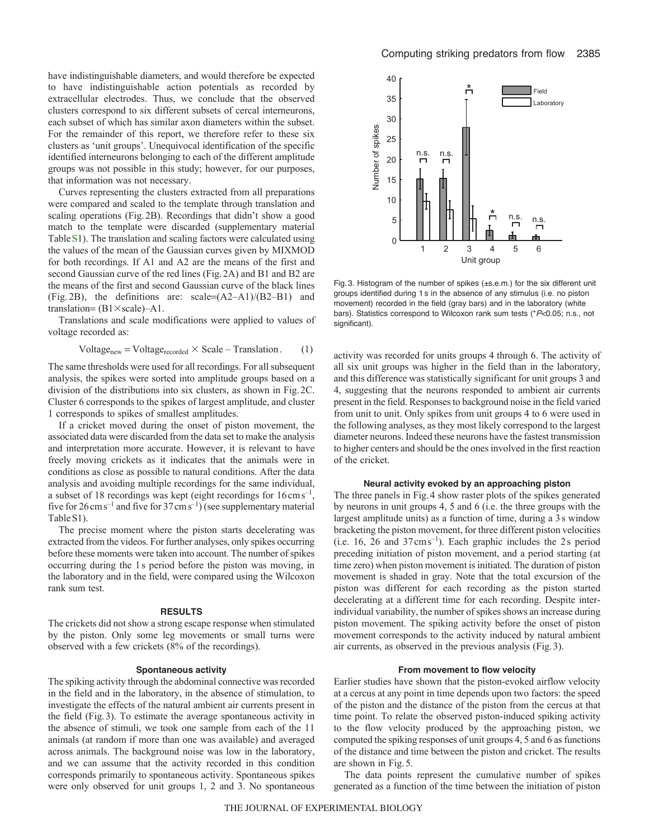have indistinguishable diameters, and would therefore be expected to have indistinguishable action potentials as recorded by extracellular electrodes. Thus, we conclude that the observed clusters correspond to six different subsets of cercal interneurons, each subset of which has similar axon diameters within the subset. For the remainder of this report, we therefore refer to these six clusters as 'unit groups'. Unequivocal identification of the specific identified interneurons belonging to each of the different amplitude groups was not possible in this study; however, for our purposes, that information was not necessary.

Curves representing the clusters extracted from all preparations were compared and scaled to the template through translation and scaling operations (Fig.2B). Recordings that didn't show a good match to the template were discarded (supplementary material Table S1). The translation and scaling factors were calculated using the values of the mean of the Gaussian curves given by MIXMOD for both recordings. If A1 and A2 are the means of the first and second Gaussian curve of the red lines (Fig.2A) and B1 and B2 are the means of the first and second Gaussian curve of the black lines (Fig. 2B), the definitions are:  $scale=(A2-A1)/(B2-B1)$  and translation= $(B1 \times scale)$ –A1.

Translations and scale modifications were applied to values of voltage recorded as:

$$
Voltage_{new} = Voltage_{recorded} \times Scale - Translation. \tag{1}
$$

The same thresholds were used for all recordings. For all subsequent analysis, the spikes were sorted into amplitude groups based on a division of the distributions into six clusters, as shown in Fig.2C. Cluster 6 corresponds to the spikes of largest amplitude, and cluster 1 corresponds to spikes of smallest amplitudes.

If a cricket moved during the onset of piston movement, the associated data were discarded from the data set to make the analysis and interpretation more accurate. However, it is relevant to have freely moving crickets as it indicates that the animals were in conditions as close as possible to natural conditions. After the data analysis and avoiding multiple recordings for the same individual, a subset of 18 recordings was kept (eight recordings for  $16 \text{ cm s}^{-1}$ , five for  $26 \text{ cm s}^{-1}$  and five for  $37 \text{ cm s}^{-1}$ ) (see supplementary material TableS1).

The precise moment where the piston starts decelerating was extracted from the videos. For further analyses, only spikes occurring before these moments were taken into account. The number of spikes occurring during the 1s period before the piston was moving, in the laboratory and in the field, were compared using the Wilcoxon rank sum test.

#### **RESULTS**

The crickets did not show a strong escape response when stimulated by the piston. Only some leg movements or small turns were observed with a few crickets (8% of the recordings).

#### **Spontaneous activity**

The spiking activity through the abdominal connective was recorded in the field and in the laboratory, in the absence of stimulation, to investigate the effects of the natural ambient air currents present in the field (Fig.3). To estimate the average spontaneous activity in the absence of stimuli, we took one sample from each of the 11 animals (at random if more than one was available) and averaged across animals. The background noise was low in the laboratory, and we can assume that the activity recorded in this condition corresponds primarily to spontaneous activity. Spontaneous spikes were only observed for unit groups 1, 2 and 3. No spontaneous



Fig. 3. Histogram of the number of spikes (±s.e.m.) for the six different unit groups identified during 1 s in the absence of any stimulus (i.e. no piston movement) recorded in the field (gray bars) and in the laboratory (white bars). Statistics correspond to Wilcoxon rank sum tests (\**P*<0.05; n.s., not significant).

activity was recorded for units groups 4 through 6. The activity of all six unit groups was higher in the field than in the laboratory, and this difference was statistically significant for unit groups 3 and 4, suggesting that the neurons responded to ambient air currents present in the field. Responses to background noise in the field varied from unit to unit. Only spikes from unit groups 4 to 6 were used in the following analyses, as they most likely correspond to the largest diameter neurons. Indeed these neurons have the fastest transmission to higher centers and should be the ones involved in the first reaction of the cricket.

## **Neural activity evoked by an approaching piston**

The three panels in Fig.4 show raster plots of the spikes generated by neurons in unit groups 4, 5 and 6 (i.e. the three groups with the largest amplitude units) as a function of time, during a 3s window bracketing the piston movement, for three different piston velocities (i.e.  $16$ ,  $26$  and  $37 \text{ cm s}^{-1}$ ). Each graphic includes the 2s period preceding initiation of piston movement, and a period starting (at time zero) when piston movement is initiated. The duration of piston movement is shaded in gray. Note that the total excursion of the piston was different for each recording as the piston started decelerating at a different time for each recording. Despite interindividual variability, the number of spikes shows an increase during piston movement. The spiking activity before the onset of piston movement corresponds to the activity induced by natural ambient air currents, as observed in the previous analysis (Fig.3).

#### **From movement to flow velocity**

Earlier studies have shown that the piston-evoked airflow velocity at a cercus at any point in time depends upon two factors: the speed of the piston and the distance of the piston from the cercus at that time point. To relate the observed piston-induced spiking activity to the flow velocity produced by the approaching piston, we computed the spiking responses of unit groups 4, 5 and 6 as functions of the distance and time between the piston and cricket. The results are shown in Fig.5.

The data points represent the cumulative number of spikes generated as a function of the time between the initiation of piston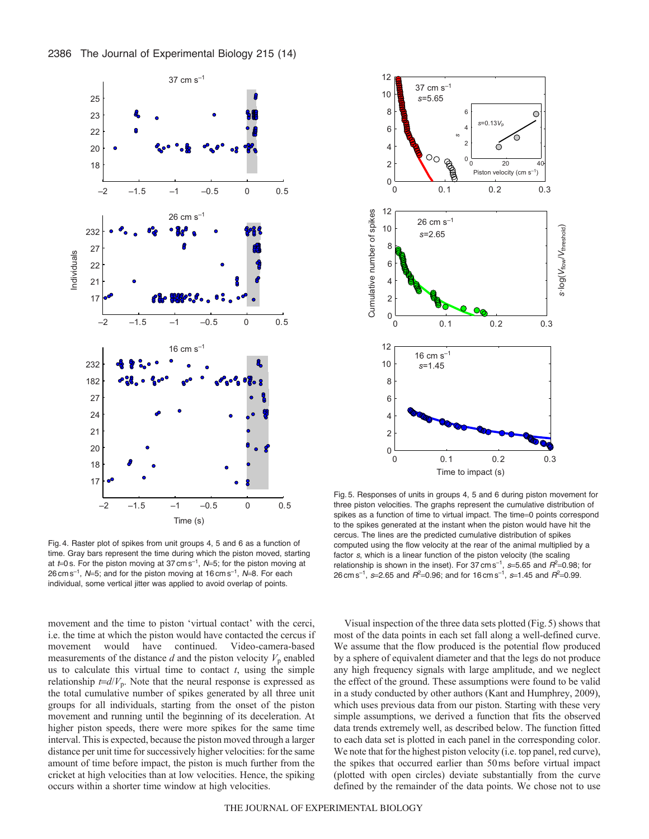

Fig. 4. Raster plot of spikes from unit groups 4, 5 and 6 as a function of time. Gray bars represent the time during which the piston moved, starting at *t*=0 s. For the piston moving at 37 cm s<sup>-1</sup>, *N*=5; for the piston moving at 26 cm s<sup>-1</sup>, N=5; and for the piston moving at 16 cm s<sup>-1</sup>, N=8. For each individual, some vertical jitter was applied to avoid overlap of points.

movement and the time to piston 'virtual contact' with the cerci, i.e. the time at which the piston would have contacted the cercus if movement would have continued. Video-camera-based measurements of the distance  $d$  and the piston velocity  $V_p$  enabled us to calculate this virtual time to contact  $t$ , using the simple relationship  $t=d/V_p$ . Note that the neural response is expressed as the total cumulative number of spikes generated by all three unit groups for all individuals, starting from the onset of the piston movement and running until the beginning of its deceleration. At higher piston speeds, there were more spikes for the same time interval. This is expected, because the piston moved through a larger distance per unit time for successively higher velocities: for the same amount of time before impact, the piston is much further from the cricket at high velocities than at low velocities. Hence, the spiking occurs within a shorter time window at high velocities.



Fig. 5. Responses of units in groups 4, 5 and 6 during piston movement for three piston velocities. The graphs represent the cumulative distribution of spikes as a function of time to virtual impact. The time=0 points correspond to the spikes generated at the instant when the piston would have hit the cercus. The lines are the predicted cumulative distribution of spikes computed using the flow velocity at the rear of the animal multiplied by a factor *s*, which is a linear function of the piston velocity (the scaling relationship is shown in the inset). For 37 cm s<sup>-1</sup>, s=5.65 and  $R^2$ =0.98; for  $26 \text{ cm s}^{-1}$ , *s*=2.65 and *R*<sup>2</sup>=0.96; and for 16 cm s<sup>-1</sup>, *s*=1.45 and *R*<sup>2</sup>=0.99.

Visual inspection of the three data sets plotted (Fig.5) shows that most of the data points in each set fall along a well-defined curve. We assume that the flow produced is the potential flow produced by a sphere of equivalent diameter and that the legs do not produce any high frequency signals with large amplitude, and we neglect the effect of the ground. These assumptions were found to be valid in a study conducted by other authors (Kant and Humphrey, 2009), which uses previous data from our piston. Starting with these very simple assumptions, we derived a function that fits the observed data trends extremely well, as described below. The function fitted to each data set is plotted in each panel in the corresponding color. We note that for the highest piston velocity (i.e. top panel, red curve), the spikes that occurred earlier than 50ms before virtual impact (plotted with open circles) deviate substantially from the curve defined by the remainder of the data points. We chose not to use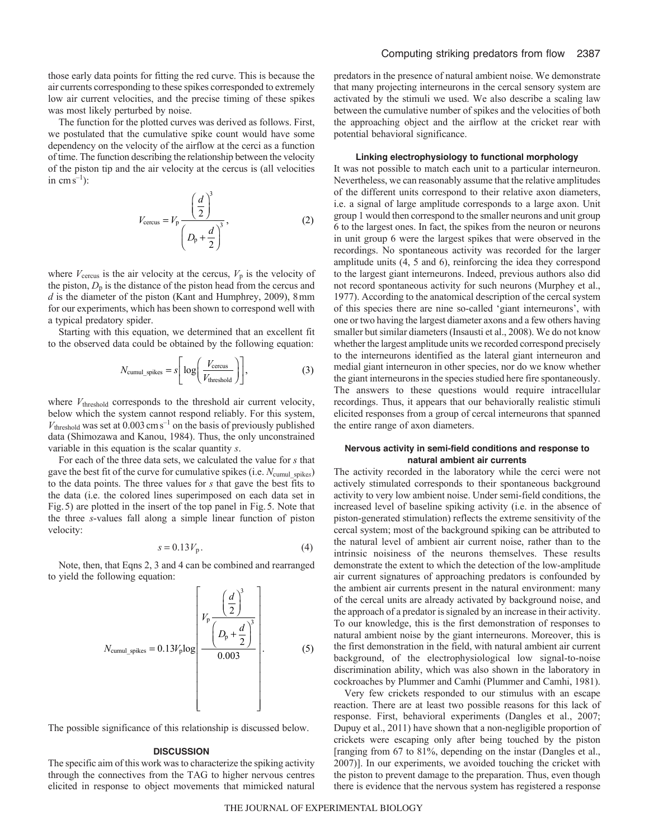those early data points for fitting the red curve. This is because the air currents corresponding to these spikes corresponded to extremely low air current velocities, and the precise timing of these spikes was most likely perturbed by noise.

The function for the plotted curves was derived as follows. First, we postulated that the cumulative spike count would have some dependency on the velocity of the airflow at the cerci as a function of time. The function describing the relationship between the velocity of the piston tip and the air velocity at the cercus is (all velocities in  $\text{cm s}^{-1}$ ):

$$
V_{\text{cercus}} = V_{\text{p}} \frac{\left(\frac{d}{2}\right)^3}{\left(D_{\text{p}} + \frac{d}{2}\right)^3},\tag{2}
$$

where  $V_{\text{cercus}}$  is the air velocity at the cercus,  $V_p$  is the velocity of the piston,  $D_p$  is the distance of the piston head from the cercus and *d* is the diameter of the piston (Kant and Humphrey, 2009), 8mm for our experiments, which has been shown to correspond well with a typical predatory spider.

Starting with this equation, we determined that an excellent fit to the observed data could be obtained by the following equation:

$$
N_{\text{cumul\_spikes}} = s \left[ \log \left( \frac{V_{\text{cercus}}}{V_{\text{threshold}}} \right) \right],\tag{3}
$$

where  $V_{\text{threshold}}$  corresponds to the threshold air current velocity, below which the system cannot respond reliably. For this system,  $V_{\text{threshold}}$  was set at 0.003 cm s<sup>-1</sup> on the basis of previously published data (Shimozawa and Kanou, 1984). Thus, the only unconstrained variable in this equation is the scalar quantity *s*.

For each of the three data sets, we calculated the value for *s* that gave the best fit of the curve for cumulative spikes (i.e.  $N_{\text{cumul\,\,spikes}}$ ) to the data points. The three values for *s* that gave the best fits to the data (i.e. the colored lines superimposed on each data set in Fig.5) are plotted in the insert of the top panel in Fig.5. Note that the three *s*-values fall along a simple linear function of piston velocity:

$$
s = 0.13Vp.
$$
 (4)

Note, then, that Eqns 2, 3 and 4 can be combined and rearranged to yield the following equation:



The possible significance of this relationship is discussed below.

#### **DISCUSSION**

The specific aim of this work was to characterize the spiking activity through the connectives from the TAG to higher nervous centres elicited in response to object movements that mimicked natural predators in the presence of natural ambient noise. We demonstrate that many projecting interneurons in the cercal sensory system are activated by the stimuli we used. We also describe a scaling law between the cumulative number of spikes and the velocities of both the approaching object and the airflow at the cricket rear with potential behavioral significance.

## **Linking electrophysiology to functional morphology**

It was not possible to match each unit to a particular interneuron. Nevertheless, we can reasonably assume that the relative amplitudes of the different units correspond to their relative axon diameters, i.e. a signal of large amplitude corresponds to a large axon. Unit group 1 would then correspond to the smaller neurons and unit group 6 to the largest ones. In fact, the spikes from the neuron or neurons in unit group 6 were the largest spikes that were observed in the recordings. No spontaneous activity was recorded for the larger amplitude units (4, 5 and 6), reinforcing the idea they correspond to the largest giant interneurons. Indeed, previous authors also did not record spontaneous activity for such neurons (Murphey et al., 1977). According to the anatomical description of the cercal system of this species there are nine so-called 'giant interneurons', with one or two having the largest diameter axons and a few others having smaller but similar diameters (Insausti et al., 2008). We do not know whether the largest amplitude units we recorded correspond precisely to the interneurons identified as the lateral giant interneuron and medial giant interneuron in other species, nor do we know whether the giant interneurons in the species studied here fire spontaneously. The answers to these questions would require intracellular recordings. Thus, it appears that our behaviorally realistic stimuli elicited responses from a group of cercal interneurons that spanned the entire range of axon diameters.

## **Nervous activity in semi-field conditions and response to natural ambient air currents**

The activity recorded in the laboratory while the cerci were not actively stimulated corresponds to their spontaneous background activity to very low ambient noise. Under semi-field conditions, the increased level of baseline spiking activity (i.e. in the absence of piston-generated stimulation) reflects the extreme sensitivity of the cercal system; most of the background spiking can be attributed to the natural level of ambient air current noise, rather than to the intrinsic noisiness of the neurons themselves. These results demonstrate the extent to which the detection of the low-amplitude air current signatures of approaching predators is confounded by the ambient air currents present in the natural environment: many of the cercal units are already activated by background noise, and the approach of a predator is signaled by an increase in their activity. To our knowledge, this is the first demonstration of responses to natural ambient noise by the giant interneurons. Moreover, this is the first demonstration in the field, with natural ambient air current background, of the electrophysiological low signal-to-noise discrimination ability, which was also shown in the laboratory in cockroaches by Plummer and Camhi (Plummer and Camhi, 1981).

Very few crickets responded to our stimulus with an escape reaction. There are at least two possible reasons for this lack of response. First, behavioral experiments (Dangles et al., 2007; Dupuy et al., 2011) have shown that a non-negligible proportion of crickets were escaping only after being touched by the piston [ranging from 67 to 81%, depending on the instar (Dangles et al., 2007)]. In our experiments, we avoided touching the cricket with the piston to prevent damage to the preparation. Thus, even though there is evidence that the nervous system has registered a response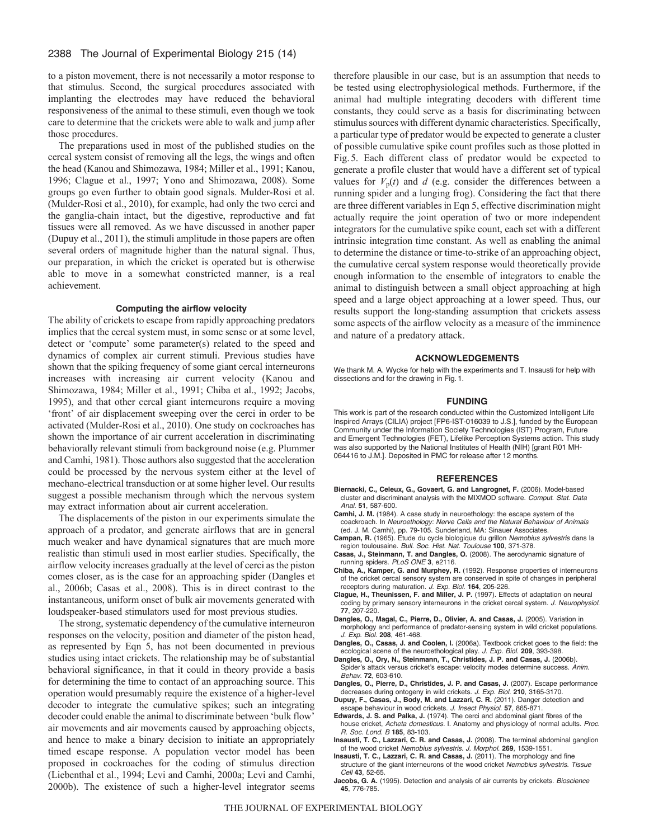to a piston movement, there is not necessarily a motor response to that stimulus. Second, the surgical procedures associated with implanting the electrodes may have reduced the behavioral responsiveness of the animal to these stimuli, even though we took care to determine that the crickets were able to walk and jump after those procedures.

The preparations used in most of the published studies on the cercal system consist of removing all the legs, the wings and often the head (Kanou and Shimozawa, 1984; Miller et al., 1991; Kanou, 1996; Clague et al., 1997; Yono and Shimozawa, 2008). Some groups go even further to obtain good signals. Mulder-Rosi et al. (Mulder-Rosi et al., 2010), for example, had only the two cerci and the ganglia-chain intact, but the digestive, reproductive and fat tissues were all removed. As we have discussed in another paper (Dupuy et al., 2011), the stimuli amplitude in those papers are often several orders of magnitude higher than the natural signal. Thus, our preparation, in which the cricket is operated but is otherwise able to move in a somewhat constricted manner, is a real achievement.

#### **Computing the airflow velocity**

The ability of crickets to escape from rapidly approaching predators implies that the cercal system must, in some sense or at some level, detect or 'compute' some parameter(s) related to the speed and dynamics of complex air current stimuli. Previous studies have shown that the spiking frequency of some giant cercal interneurons increases with increasing air current velocity (Kanou and Shimozawa, 1984; Miller et al., 1991; Chiba et al., 1992; Jacobs, 1995), and that other cercal giant interneurons require a moving 'front' of air displacement sweeping over the cerci in order to be activated (Mulder-Rosi et al., 2010). One study on cockroaches has shown the importance of air current acceleration in discriminating behaviorally relevant stimuli from background noise (e.g. Plummer and Camhi, 1981). Those authors also suggested that the acceleration could be processed by the nervous system either at the level of mechano-electrical transduction or at some higher level. Our results suggest a possible mechanism through which the nervous system may extract information about air current acceleration.

The displacements of the piston in our experiments simulate the approach of a predator, and generate airflows that are in general much weaker and have dynamical signatures that are much more realistic than stimuli used in most earlier studies. Specifically, the airflow velocity increases gradually at the level of cerci as the piston comes closer, as is the case for an approaching spider (Dangles et al., 2006b; Casas et al., 2008). This is in direct contrast to the instantaneous, uniform onset of bulk air movements generated with loudspeaker-based stimulators used for most previous studies.

The strong, systematic dependency of the cumulative interneuron responses on the velocity, position and diameter of the piston head, as represented by Eqn 5, has not been documented in previous studies using intact crickets. The relationship may be of substantial behavioral significance, in that it could in theory provide a basis for determining the time to contact of an approaching source. This operation would presumably require the existence of a higher-level decoder to integrate the cumulative spikes; such an integrating decoder could enable the animal to discriminate between 'bulk flow' air movements and air movements caused by approaching objects, and hence to make a binary decision to initiate an appropriately timed escape response. A population vector model has been proposed in cockroaches for the coding of stimulus direction (Liebenthal et al., 1994; Levi and Camhi, 2000a; Levi and Camhi, 2000b). The existence of such a higher-level integrator seems

therefore plausible in our case, but is an assumption that needs to be tested using electrophysiological methods. Furthermore, if the animal had multiple integrating decoders with different time constants, they could serve as a basis for discriminating between stimulus sources with different dynamic characteristics. Specifically, a particular type of predator would be expected to generate a cluster of possible cumulative spike count profiles such as those plotted in Fig.5. Each different class of predator would be expected to generate a profile cluster that would have a different set of typical values for  $V_p(t)$  and *d* (e.g. consider the differences between a running spider and a lunging frog). Considering the fact that there are three different variables in Eqn 5, effective discrimination might actually require the joint operation of two or more independent integrators for the cumulative spike count, each set with a different intrinsic integration time constant. As well as enabling the animal to determine the distance or time-to-strike of an approaching object, the cumulative cercal system response would theoretically provide enough information to the ensemble of integrators to enable the animal to distinguish between a small object approaching at high speed and a large object approaching at a lower speed. Thus, our results support the long-standing assumption that crickets assess some aspects of the airflow velocity as a measure of the imminence and nature of a predatory attack.

#### **ACKNOWLEDGEMENTS**

We thank M. A. Wycke for help with the experiments and T. Insausti for help with dissections and for the drawing in Fig. 1.

### **FUNDING**

This work is part of the research conducted within the Customized Intelligent Life Inspired Arrays (CILIA) project [FP6-IST-016039 to J.S.], funded by the European Community under the Information Society Technologies (IST) Program, Future and Emergent Technologies (FET), Lifelike Perception Systems action. This study was also supported by the National Institutes of Health (NIH) [grant R01 MH-064416 to J.M.]. Deposited in PMC for release after 12 months.

#### **REFERENCES**

- **Biernacki, C., Celeux, G., Govaert, G. and Langrognet, F.** (2006). Model-based cluster and discriminant analysis with the MIXMOD software. *Comput. Stat. Data Anal.* **51**, 587-600.
- **Camhi, J. M.** (1984). A case study in neuroethology: the escape system of the coackroach. In *Neuroethology: Nerve Cells and the Natural Behaviour of Animals* (ed. J. M. Camhi), pp. 79-105. Sunderland, MA: Sinauer Associates.
- **Campan, R.** (1965). Etude du cycle biologique du grillon *Nemobius sylvestris* dans la region toulousaine. *Bull. Soc. Hist. Nat. Toulouse* **100**, 371-378.
- **Casas, J., Steinmann, T. and Dangles, O.** (2008). The aerodynamic signature of running spiders. *PLoS ONE* **3**, e2116.
- **Chiba, A., Kamper, G. and Murphey, R.** (1992). Response properties of interneurons of the cricket cercal sensory system are conserved in spite of changes in peripheral receptors during maturation. *J. Exp. Biol.* **164**, 205-226.
- **Clague, H., Theunissen, F. and Miller, J. P.** (1997). Effects of adaptation on neural coding by primary sensory interneurons in the cricket cercal system. *J. Neurophysiol.* **77**, 207-220.
- **Dangles, O., Magal, C., Pierre, D., Olivier, A. and Casas, J.** (2005). Variation in morphology and performance of predator-sensing system in wild cricket populations. *J. Exp. Biol.* **208**, 461-468.
- **Dangles, O., Casas, J. and Coolen, I.** (2006a). Textbook cricket goes to the field: the ecological scene of the neuroethological play. *J. Exp. Biol.* **209**, 393-398.
- **Dangles, O., Ory, N., Steinmann, T., Christides, J. P. and Casas, J.** (2006b). Spider's attack versus cricket's escape: velocity modes determine success. *Anim. Behav.* **72**, 603-610.
- **Dangles, O., Pierre, D., Christides, J. P. and Casas, J.** (2007). Escape performance decreases during ontogeny in wild crickets. *J. Exp. Biol.* **210**, 3165-3170.
- **Dupuy, F., Casas, J., Body, M. and Lazzari, C. R.** (2011). Danger detection and escape behaviour in wood crickets. *J. Insect Physiol.* **57**, 865-871.
- **Edwards, J. S. and Palka, J.** (1974). The cerci and abdominal giant fibres of the house cricket, *Acheta domesticus.* I. Anatomy and physiology of normal adults. *Proc. R. Soc. Lond. B* **185**, 83-103.
- **Insausti, T. C., Lazzari, C. R. and Casas, J.** (2008). The terminal abdominal ganglion of the wood cricket *Nemobius sylvestris. J. Morphol.* **269**, 1539-1551.
- **Insausti, T. C., Lazzari, C. R. and Casas, J.** (2011). The morphology and fine structure of the giant interneurons of the wood cricket *Nemobius sylvestris. Tissue Cell* **43**, 52-65.
- **Jacobs, G. A.** (1995). Detection and analysis of air currents by crickets. *Bioscience* **45**, 776-785.